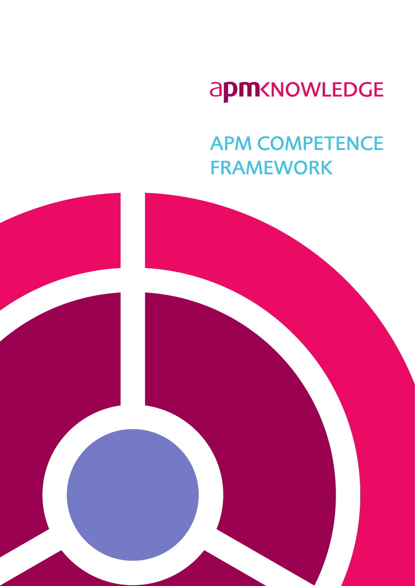# apm<NOWLEDGE

## **APM COMPETENCE FRAMEWORK**

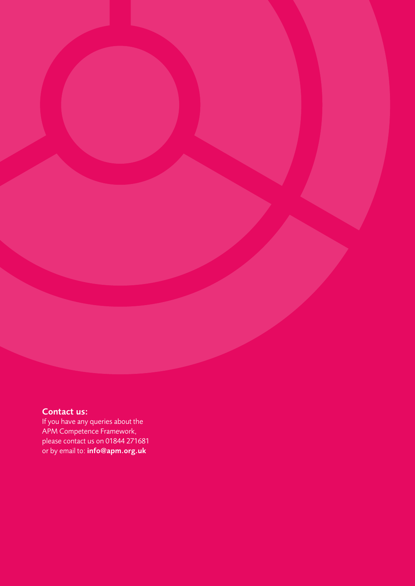### Contact us:

If you have any queries about the APM Competence Framework, please contact us on 01844 271681 or by email to: info@apm.org.uk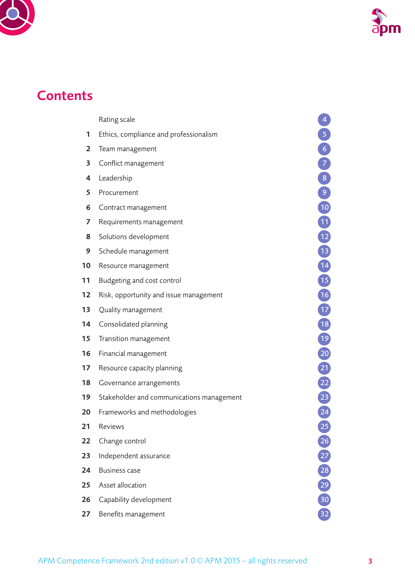



## **Contents**

- [Ethics, compliance and professionalism](#page-4-0)
- [Team management](#page-5-0)
- [Conflict management](#page-6-0)
- [Leadership](#page-7-0)
- [Procurement](#page-8-0)
- [Contract management](#page-9-0)
- [Requirements management](#page-10-0)
- [Solutions development](#page-11-0)
- [Schedule management](#page-12-0)
- [Resource management](#page-13-0)
- [Budgeting and cost control](#page-14-0)
- [Risk, opportunity and issue management](#page-15-0)
- [Quality management](#page-16-0)
- [Consolidated planning](#page-17-0)
- [Transition management](#page-18-0)
- [Financial management](#page-19-0)
- [Resource capacity planning](#page-20-0)
- [Governance arrangements](#page-21-0)
- [Stakeholder and communications management](#page-22-0)
- [Frameworks and methodologies](#page-23-0)
- [Reviews](#page-24-0) 25
- [Change control](#page-25-0)
- [Independent assurance](#page-26-0)
- [Business case](#page-27-0)
- [Asset allocation](#page-28-0)
- [Capability development](#page-29-0)
- [Benefits management](#page-31-0)

[Rating scale](#page-3-0)<br>
Ethics, compliance and professionalism<br>
Team management<br>
Conflict management<br>
Conflict management<br>
Construct management<br>
Construct management<br>
Solutions development<br>
Scale<br>
Consulided planning<br>
Scale manageme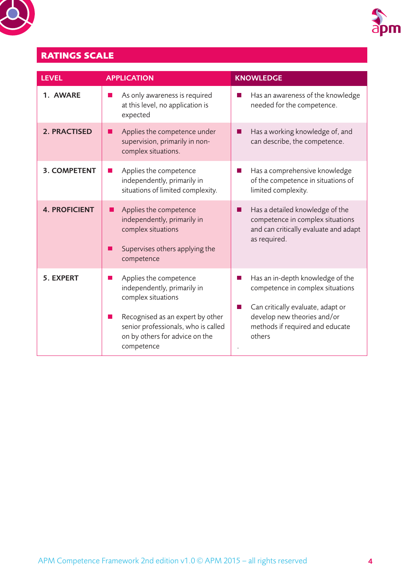<span id="page-3-0"></span>



## **RATINGS SCALE**

| <b>LEVEL</b>         | <b>APPLICATION</b>                                                                                                                                                                                            | <b>KNOWLEDGE</b>                                                                                                                                                                      |
|----------------------|---------------------------------------------------------------------------------------------------------------------------------------------------------------------------------------------------------------|---------------------------------------------------------------------------------------------------------------------------------------------------------------------------------------|
| 1. AWARE             | As only awareness is required<br>$\sim$<br>at this level, no application is<br>expected                                                                                                                       | Has an awareness of the knowledge<br>needed for the competence.                                                                                                                       |
| 2. PRACTISED         | Applies the competence under<br>supervision, primarily in non-<br>complex situations.                                                                                                                         | Has a working knowledge of, and<br>can describe, the competence.                                                                                                                      |
| <b>3. COMPETENT</b>  | Applies the competence<br>independently, primarily in<br>situations of limited complexity.                                                                                                                    | Has a comprehensive knowledge<br>of the competence in situations of<br>limited complexity.                                                                                            |
| <b>4. PROFICIENT</b> | Applies the competence<br>independently, primarily in<br>complex situations<br>Supervises others applying the<br>competence                                                                                   | Has a detailed knowledge of the<br>ш<br>competence in complex situations<br>and can critically evaluate and adapt<br>as required.                                                     |
| 5. EXPERT            | Applies the competence<br>a a<br>independently, primarily in<br>complex situations<br>Recognised as an expert by other<br>senior professionals, who is called<br>on by others for advice on the<br>competence | Has an in-depth knowledge of the<br>competence in complex situations<br>Can critically evaluate, adapt or<br>develop new theories and/or<br>methods if required and educate<br>others |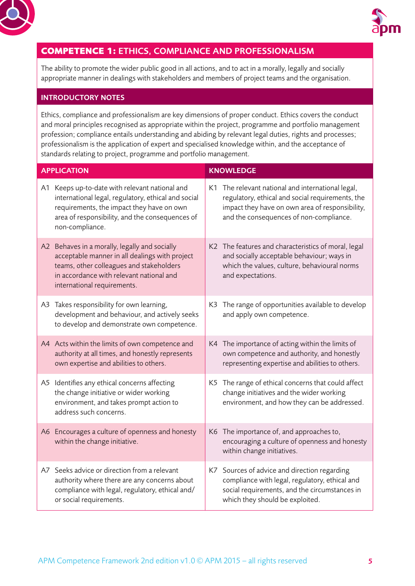<span id="page-4-0"></span>



## **COMPETENCE 1:** ETHICS, COMPLIANCE AND PROFESSIONALISM

The ability to promote the wider public good in all actions, and to act in a morally, legally and socially appropriate manner in dealings with stakeholders and members of project teams and the organisation.

#### INTRODUCTORY NOTES

Ethics, compliance and professionalism are key dimensions of proper conduct. Ethics covers the conduct and moral principles recognised as appropriate within the project, programme and portfolio management profession; compliance entails understanding and abiding by relevant legal duties, rights and processes; professionalism is the application of expert and specialised knowledge within, and the acceptance of standards relating to project, programme and portfolio management.

| <b>APPLICATION</b> |                                                                                                                                                                                                                          | <b>KNOWLEDGE</b> |                                                                                                                                                                                                     |  |
|--------------------|--------------------------------------------------------------------------------------------------------------------------------------------------------------------------------------------------------------------------|------------------|-----------------------------------------------------------------------------------------------------------------------------------------------------------------------------------------------------|--|
|                    | A1 Keeps up-to-date with relevant national and<br>international legal, regulatory, ethical and social<br>requirements, the impact they have on own<br>area of responsibility, and the consequences of<br>non-compliance. |                  | K1 The relevant national and international legal,<br>regulatory, ethical and social requirements, the<br>impact they have on own area of responsibility,<br>and the consequences of non-compliance. |  |
|                    | A2 Behaves in a morally, legally and socially<br>acceptable manner in all dealings with project<br>teams, other colleagues and stakeholders<br>in accordance with relevant national and<br>international requirements.   |                  | K2 The features and characteristics of moral, legal<br>and socially acceptable behaviour; ways in<br>which the values, culture, behavioural norms<br>and expectations.                              |  |
|                    | A3 Takes responsibility for own learning,<br>development and behaviour, and actively seeks<br>to develop and demonstrate own competence.                                                                                 | K3.              | The range of opportunities available to develop<br>and apply own competence.                                                                                                                        |  |
|                    | A4 Acts within the limits of own competence and<br>authority at all times, and honestly represents<br>own expertise and abilities to others.                                                                             |                  | K4 The importance of acting within the limits of<br>own competence and authority, and honestly<br>representing expertise and abilities to others.                                                   |  |
|                    | A5 Identifies any ethical concerns affecting<br>the change initiative or wider working<br>environment, and takes prompt action to<br>address such concerns.                                                              |                  | K5 The range of ethical concerns that could affect<br>change initiatives and the wider working<br>environment, and how they can be addressed.                                                       |  |
|                    | A6 Encourages a culture of openness and honesty<br>within the change initiative.                                                                                                                                         |                  | K6 The importance of, and approaches to,<br>encouraging a culture of openness and honesty<br>within change initiatives.                                                                             |  |
| A7                 | Seeks advice or direction from a relevant<br>authority where there are any concerns about<br>compliance with legal, regulatory, ethical and/<br>or social requirements.                                                  | K7               | Sources of advice and direction regarding<br>compliance with legal, regulatory, ethical and<br>social requirements, and the circumstances in<br>which they should be exploited.                     |  |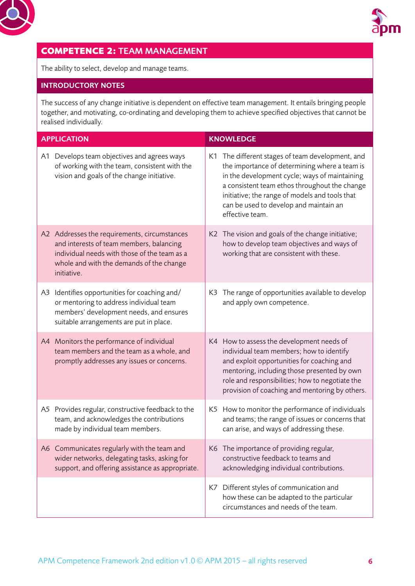<span id="page-5-0"></span>



## **COMPETENCE 2:** TEAM MANAGEMENT

The ability to select, develop and manage teams.

#### INTRODUCTORY NOTES

The success of any change initiative is dependent on effective team management. It entails bringing people together, and motivating, co-ordinating and developing them to achieve specified objectives that cannot be realised individually.

| <b>APPLICATION</b> |                                                                                                                                                                                                     |    | <b>KNOWLEDGE</b>                                                                                                                                                                                                                                                                                                   |
|--------------------|-----------------------------------------------------------------------------------------------------------------------------------------------------------------------------------------------------|----|--------------------------------------------------------------------------------------------------------------------------------------------------------------------------------------------------------------------------------------------------------------------------------------------------------------------|
|                    | A1 Develops team objectives and agrees ways<br>of working with the team, consistent with the<br>vision and goals of the change initiative.                                                          |    | K1 The different stages of team development, and<br>the importance of determining where a team is<br>in the development cycle; ways of maintaining<br>a consistent team ethos throughout the change<br>initiative; the range of models and tools that<br>can be used to develop and maintain an<br>effective team. |
|                    | A2 Addresses the requirements, circumstances<br>and interests of team members, balancing<br>individual needs with those of the team as a<br>whole and with the demands of the change<br>initiative. |    | K2 The vision and goals of the change initiative;<br>how to develop team objectives and ways of<br>working that are consistent with these.                                                                                                                                                                         |
| A3                 | Identifies opportunities for coaching and/<br>or mentoring to address individual team<br>members' development needs, and ensures<br>suitable arrangements are put in place.                         | K3 | The range of opportunities available to develop<br>and apply own competence.                                                                                                                                                                                                                                       |
|                    | A4 Monitors the performance of individual<br>team members and the team as a whole, and<br>promptly addresses any issues or concerns.                                                                |    | K4 How to assess the development needs of<br>individual team members; how to identify<br>and exploit opportunities for coaching and<br>mentoring, including those presented by own<br>role and responsibilities; how to negotiate the<br>provision of coaching and mentoring by others.                            |
|                    | A5 Provides regular, constructive feedback to the<br>team, and acknowledges the contributions<br>made by individual team members.                                                                   |    | K5 How to monitor the performance of individuals<br>and teams; the range of issues or concerns that<br>can arise, and ways of addressing these.                                                                                                                                                                    |
|                    | A6 Communicates regularly with the team and<br>wider networks, delegating tasks, asking for<br>support, and offering assistance as appropriate.                                                     |    | K6 The importance of providing regular,<br>constructive feedback to teams and<br>acknowledging individual contributions.                                                                                                                                                                                           |
|                    |                                                                                                                                                                                                     |    | K7 Different styles of communication and<br>how these can be adapted to the particular<br>circumstances and needs of the team.                                                                                                                                                                                     |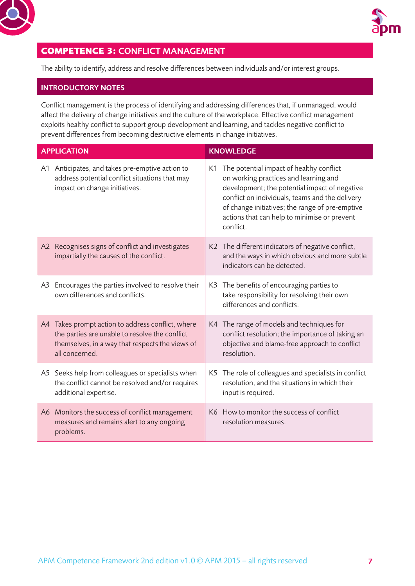<span id="page-6-0"></span>



## **COMPETENCE 3:** CONFLICT MANAGEMENT

The ability to identify, address and resolve differences between individuals and/or interest groups.

#### INTRODUCTORY NOTES

Conflict management is the process of identifying and addressing differences that, if unmanaged, would affect the delivery of change initiatives and the culture of the workplace. Effective conflict management exploits healthy conflict to support group development and learning, and tackles negative conflict to prevent differences from becoming destructive elements in change initiatives.

| <b>APPLICATION</b> |                                                                                                                                                                       |    | <b>KNOWLEDGE</b>                                                                                                                                                                                                                                                                                      |  |
|--------------------|-----------------------------------------------------------------------------------------------------------------------------------------------------------------------|----|-------------------------------------------------------------------------------------------------------------------------------------------------------------------------------------------------------------------------------------------------------------------------------------------------------|--|
|                    | A1 Anticipates, and takes pre-emptive action to<br>address potential conflict situations that may<br>impact on change initiatives.                                    | K1 | The potential impact of healthy conflict<br>on working practices and learning and<br>development; the potential impact of negative<br>conflict on individuals, teams and the delivery<br>of change initiatives; the range of pre-emptive<br>actions that can help to minimise or prevent<br>conflict. |  |
|                    | A2 Recognises signs of conflict and investigates<br>impartially the causes of the conflict.                                                                           |    | K2 The different indicators of negative conflict,<br>and the ways in which obvious and more subtle<br>indicators can be detected.                                                                                                                                                                     |  |
| A3                 | Encourages the parties involved to resolve their<br>own differences and conflicts.                                                                                    |    | K3 The benefits of encouraging parties to<br>take responsibility for resolving their own<br>differences and conflicts.                                                                                                                                                                                |  |
| A4                 | Takes prompt action to address conflict, where<br>the parties are unable to resolve the conflict<br>themselves, in a way that respects the views of<br>all concerned. |    | K4 The range of models and techniques for<br>conflict resolution; the importance of taking an<br>objective and blame-free approach to conflict<br>resolution.                                                                                                                                         |  |
|                    | A5 Seeks help from colleagues or specialists when<br>the conflict cannot be resolved and/or requires<br>additional expertise.                                         |    | K5 The role of colleagues and specialists in conflict<br>resolution, and the situations in which their<br>input is required.                                                                                                                                                                          |  |
|                    | A6 Monitors the success of conflict management<br>measures and remains alert to any ongoing<br>problems.                                                              |    | K6 How to monitor the success of conflict<br>resolution measures.                                                                                                                                                                                                                                     |  |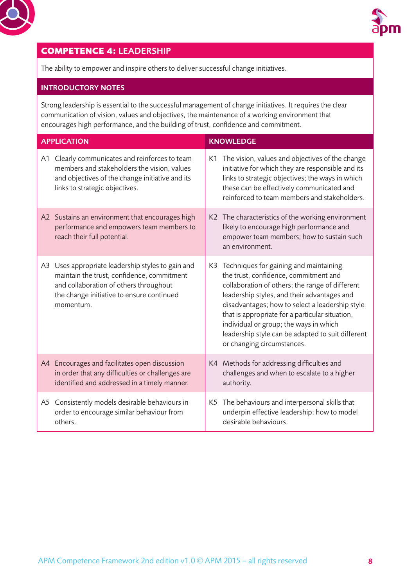<span id="page-7-0"></span>



## **COMPETENCE 4:** LEADERSHIP

The ability to empower and inspire others to deliver successful change initiatives.

#### INTRODUCTORY NOTES

Strong leadership is essential to the successful management of change initiatives. It requires the clear communication of vision, values and objectives, the maintenance of a working environment that encourages high performance, and the building of trust, confidence and commitment.

| <b>APPLICATION</b> |                                                                                                                                                                                                  |    | <b>KNOWLEDGE</b>                                                                                                                                                                                                                                                                                                                                                                                                        |  |
|--------------------|--------------------------------------------------------------------------------------------------------------------------------------------------------------------------------------------------|----|-------------------------------------------------------------------------------------------------------------------------------------------------------------------------------------------------------------------------------------------------------------------------------------------------------------------------------------------------------------------------------------------------------------------------|--|
| A1                 | Clearly communicates and reinforces to team<br>members and stakeholders the vision, values<br>and objectives of the change initiative and its<br>links to strategic objectives.                  |    | K1 The vision, values and objectives of the change<br>initiative for which they are responsible and its<br>links to strategic objectives; the ways in which<br>these can be effectively communicated and<br>reinforced to team members and stakeholders.                                                                                                                                                                |  |
|                    | A2 Sustains an environment that encourages high<br>performance and empowers team members to<br>reach their full potential.                                                                       |    | K2 The characteristics of the working environment<br>likely to encourage high performance and<br>empower team members; how to sustain such<br>an environment.                                                                                                                                                                                                                                                           |  |
| A3                 | Uses appropriate leadership styles to gain and<br>maintain the trust, confidence, commitment<br>and collaboration of others throughout<br>the change initiative to ensure continued<br>momentum. |    | K3 Techniques for gaining and maintaining<br>the trust, confidence, commitment and<br>collaboration of others; the range of different<br>leadership styles, and their advantages and<br>disadvantages; how to select a leadership style<br>that is appropriate for a particular situation,<br>individual or group; the ways in which<br>leadership style can be adapted to suit different<br>or changing circumstances. |  |
|                    | A4 Encourages and facilitates open discussion<br>in order that any difficulties or challenges are<br>identified and addressed in a timely manner.                                                |    | K4 Methods for addressing difficulties and<br>challenges and when to escalate to a higher<br>authority.                                                                                                                                                                                                                                                                                                                 |  |
|                    | A5 Consistently models desirable behaviours in<br>order to encourage similar behaviour from<br>others.                                                                                           | K5 | The behaviours and interpersonal skills that<br>underpin effective leadership; how to model<br>desirable behaviours.                                                                                                                                                                                                                                                                                                    |  |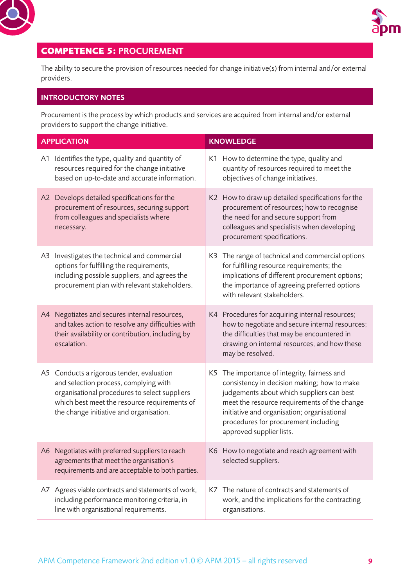<span id="page-8-0"></span>



## **COMPETENCE 5:** PROCUREMENT

The ability to secure the provision of resources needed for change initiative(s) from internal and/or external providers.

#### INTRODUCTORY NOTES

Procurement is the process by which products and services are acquired from internal and/or external providers to support the change initiative.

| <b>APPLICATION</b> |                                                                                                                                                                                                                                | <b>KNOWLEDGE</b>                                                                                                                                                                                                                                                                                            |
|--------------------|--------------------------------------------------------------------------------------------------------------------------------------------------------------------------------------------------------------------------------|-------------------------------------------------------------------------------------------------------------------------------------------------------------------------------------------------------------------------------------------------------------------------------------------------------------|
| A1                 | Identifies the type, quality and quantity of<br>resources required for the change initiative<br>based on up-to-date and accurate information.                                                                                  | K1 How to determine the type, quality and<br>quantity of resources required to meet the<br>objectives of change initiatives.                                                                                                                                                                                |
|                    | A2 Develops detailed specifications for the<br>procurement of resources, securing support<br>from colleagues and specialists where<br>necessary.                                                                               | K2 How to draw up detailed specifications for the<br>procurement of resources; how to recognise<br>the need for and secure support from<br>colleagues and specialists when developing<br>procurement specifications.                                                                                        |
| A3                 | Investigates the technical and commercial<br>options for fulfilling the requirements,<br>including possible suppliers, and agrees the<br>procurement plan with relevant stakeholders.                                          | K3 The range of technical and commercial options<br>for fulfilling resource requirements; the<br>implications of different procurement options;<br>the importance of agreeing preferred options<br>with relevant stakeholders.                                                                              |
|                    | A4 Negotiates and secures internal resources,<br>and takes action to resolve any difficulties with<br>their availability or contribution, including by<br>escalation.                                                          | K4 Procedures for acquiring internal resources;<br>how to negotiate and secure internal resources;<br>the difficulties that may be encountered in<br>drawing on internal resources, and how these<br>may be resolved.                                                                                       |
|                    | A5 Conducts a rigorous tender, evaluation<br>and selection process, complying with<br>organisational procedures to select suppliers<br>which best meet the resource requirements of<br>the change initiative and organisation. | K5 The importance of integrity, fairness and<br>consistency in decision making; how to make<br>judgements about which suppliers can best<br>meet the resource requirements of the change<br>initiative and organisation; organisational<br>procedures for procurement including<br>approved supplier lists. |
|                    | A6 Negotiates with preferred suppliers to reach<br>agreements that meet the organisation's<br>requirements and are acceptable to both parties.                                                                                 | K6 How to negotiate and reach agreement with<br>selected suppliers.                                                                                                                                                                                                                                         |
|                    | A7 Agrees viable contracts and statements of work,<br>including performance monitoring criteria, in<br>line with organisational requirements.                                                                                  | K7 The nature of contracts and statements of<br>work, and the implications for the contracting<br>organisations.                                                                                                                                                                                            |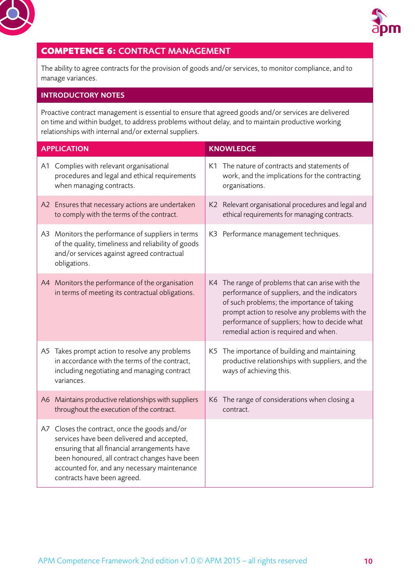<span id="page-9-0"></span>



## **COMPETENCE 6:** CONTRACT MANAGEMENT

The ability to agree contracts for the provision of goods and/or services, to monitor compliance, and to manage variances.

#### INTRODUCTORY NOTES

Proactive contract management is essential to ensure that agreed goods and/or services are delivered on time and within budget, to address problems without delay, and to maintain productive working relationships with internal and/or external suppliers.

| <b>APPLICATION</b> |                                                                                                                                                                                                                                                                           | <b>KNOWLEDGE</b> |                                                                                                                                                                                                                                                                                           |
|--------------------|---------------------------------------------------------------------------------------------------------------------------------------------------------------------------------------------------------------------------------------------------------------------------|------------------|-------------------------------------------------------------------------------------------------------------------------------------------------------------------------------------------------------------------------------------------------------------------------------------------|
|                    | A1 Complies with relevant organisational<br>procedures and legal and ethical requirements<br>when managing contracts.                                                                                                                                                     | organisations.   | K1 The nature of contracts and statements of<br>work, and the implications for the contracting                                                                                                                                                                                            |
|                    | A2 Ensures that necessary actions are undertaken<br>to comply with the terms of the contract.                                                                                                                                                                             |                  | K2 Relevant organisational procedures and legal and<br>ethical requirements for managing contracts.                                                                                                                                                                                       |
|                    | A3 Monitors the performance of suppliers in terms<br>of the quality, timeliness and reliability of goods<br>and/or services against agreed contractual<br>obligations.                                                                                                    |                  | K3 Performance management techniques.                                                                                                                                                                                                                                                     |
|                    | A4 Monitors the performance of the organisation<br>in terms of meeting its contractual obligations.                                                                                                                                                                       |                  | K4 The range of problems that can arise with the<br>performance of suppliers, and the indicators<br>of such problems; the importance of taking<br>prompt action to resolve any problems with the<br>performance of suppliers; how to decide what<br>remedial action is required and when. |
|                    | A5 Takes prompt action to resolve any problems<br>in accordance with the terms of the contract,<br>including negotiating and managing contract<br>variances.                                                                                                              |                  | K5 The importance of building and maintaining<br>productive relationships with suppliers, and the<br>ways of achieving this.                                                                                                                                                              |
|                    | A6 Maintains productive relationships with suppliers<br>throughout the execution of the contract.                                                                                                                                                                         | contract.        | K6 The range of considerations when closing a                                                                                                                                                                                                                                             |
| A7                 | Closes the contract, once the goods and/or<br>services have been delivered and accepted,<br>ensuring that all financial arrangements have<br>been honoured, all contract changes have been<br>accounted for, and any necessary maintenance<br>contracts have been agreed. |                  |                                                                                                                                                                                                                                                                                           |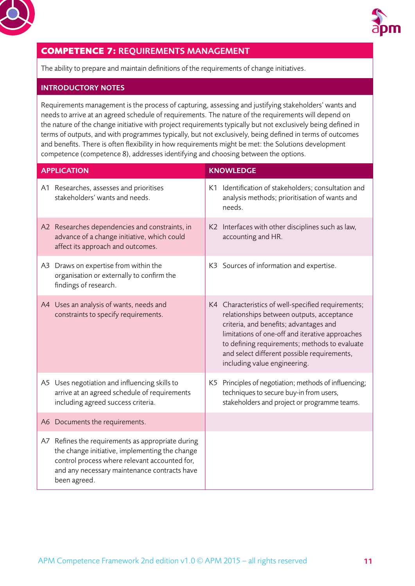<span id="page-10-0"></span>



## **COMPETENCE 7:** REQUIREMENTS MANAGEMENT

The ability to prepare and maintain definitions of the requirements of change initiatives.

#### INTRODUCTORY NOTES

Requirements management is the process of capturing, assessing and justifying stakeholders' wants and needs to arrive at an agreed schedule of requirements. The nature of the requirements will depend on the nature of the change initiative with project requirements typically but not exclusively being defined in terms of outputs, and with programmes typically, but not exclusively, being defined in terms of outcomes and benefits. There is often flexibility in how requirements might be met: the Solutions development competence (competence 8), addresses identifying and choosing between the options.

| <b>APPLICATION</b> |                                                                                                                                                                                                                      | <b>KNOWLEDGE</b>                                                                                                                                                                                                                                                                                                             |
|--------------------|----------------------------------------------------------------------------------------------------------------------------------------------------------------------------------------------------------------------|------------------------------------------------------------------------------------------------------------------------------------------------------------------------------------------------------------------------------------------------------------------------------------------------------------------------------|
|                    | A1 Researches, assesses and prioritises<br>stakeholders' wants and needs.                                                                                                                                            | K1 Identification of stakeholders; consultation and<br>analysis methods; prioritisation of wants and<br>needs.                                                                                                                                                                                                               |
|                    | A2 Researches dependencies and constraints, in<br>advance of a change initiative, which could<br>affect its approach and outcomes.                                                                                   | K2 Interfaces with other disciplines such as law,<br>accounting and HR.                                                                                                                                                                                                                                                      |
|                    | A3 Draws on expertise from within the<br>organisation or externally to confirm the<br>findings of research.                                                                                                          | K3 Sources of information and expertise.                                                                                                                                                                                                                                                                                     |
|                    | A4 Uses an analysis of wants, needs and<br>constraints to specify requirements.                                                                                                                                      | K4 Characteristics of well-specified requirements;<br>relationships between outputs, acceptance<br>criteria, and benefits; advantages and<br>limitations of one-off and iterative approaches<br>to defining requirements; methods to evaluate<br>and select different possible requirements,<br>including value engineering. |
|                    | A5 Uses negotiation and influencing skills to<br>arrive at an agreed schedule of requirements<br>including agreed success criteria.                                                                                  | K5 Principles of negotiation; methods of influencing;<br>techniques to secure buy-in from users,<br>stakeholders and project or programme teams.                                                                                                                                                                             |
|                    | A6 Documents the requirements.                                                                                                                                                                                       |                                                                                                                                                                                                                                                                                                                              |
|                    | A7 Refines the requirements as appropriate during<br>the change initiative, implementing the change<br>control process where relevant accounted for,<br>and any necessary maintenance contracts have<br>been agreed. |                                                                                                                                                                                                                                                                                                                              |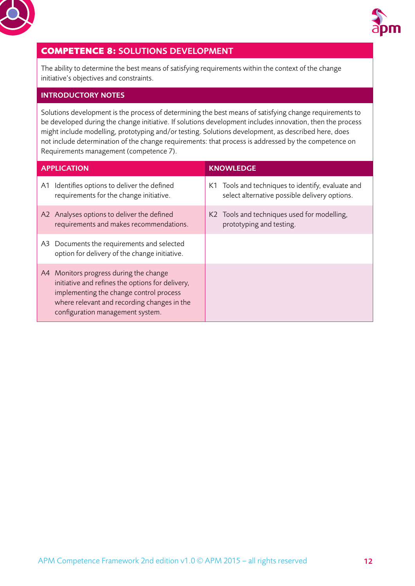<span id="page-11-0"></span>



## **COMPETENCE 8:** SOLUTIONS DEVELOPMENT

The ability to determine the best means of satisfying requirements within the context of the change initiative's objectives and constraints.

#### INTRODUCTORY NOTES

Solutions development is the process of determining the best means of satisfying change requirements to be developed during the change initiative. If solutions development includes innovation, then the process might include modelling, prototyping and/or testing. Solutions development, as described here, does not include determination of the change requirements: that process is addressed by the competence on Requirements management (competence 7).

| <b>APPLICATION</b> |                                                                                                                                                                                                                          | <b>KNOWLEDGE</b>                                                                                   |
|--------------------|--------------------------------------------------------------------------------------------------------------------------------------------------------------------------------------------------------------------------|----------------------------------------------------------------------------------------------------|
|                    | A1 Identifies options to deliver the defined<br>requirements for the change initiative.                                                                                                                                  | K1 Tools and techniques to identify, evaluate and<br>select alternative possible delivery options. |
|                    | A2 Analyses options to deliver the defined<br>requirements and makes recommendations.                                                                                                                                    | K2 Tools and techniques used for modelling,<br>prototyping and testing.                            |
|                    | A3 Documents the requirements and selected<br>option for delivery of the change initiative.                                                                                                                              |                                                                                                    |
|                    | A4 Monitors progress during the change<br>initiative and refines the options for delivery,<br>implementing the change control process<br>where relevant and recording changes in the<br>configuration management system. |                                                                                                    |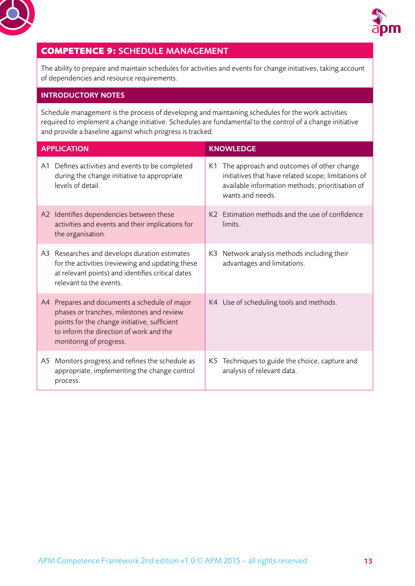<span id="page-12-0"></span>



## **COMPETENCE 9:** SCHEDULE MANAGEMENT

The ability to prepare and maintain schedules for activities and events for change initiatives, taking account of dependencies and resource requirements.

#### INTRODUCTORY NOTES

Schedule management is the process of developing and maintaining schedules for the work activities required to implement a change initiative. Schedules are fundamental to the control of a change initiative and provide a baseline against which progress is tracked.

|     | <b>APPLICATION</b>                                                                                                                                                                                            |     | <b>KNOWLEDGE</b>                                                                                                                                                            |
|-----|---------------------------------------------------------------------------------------------------------------------------------------------------------------------------------------------------------------|-----|-----------------------------------------------------------------------------------------------------------------------------------------------------------------------------|
| A1. | Defines activities and events to be completed<br>during the change initiative to appropriate<br>levels of detail.                                                                                             |     | K1 The approach and outcomes of other change<br>initiatives that have related scope; limitations of<br>available information methods; prioritisation of<br>wants and needs. |
|     | A2 Identifies dependencies between these<br>activities and events and their implications for<br>the organisation.                                                                                             |     | K2 Estimation methods and the use of confidence<br>limits.                                                                                                                  |
|     | A3 Researches and develops duration estimates<br>for the activities (reviewing and updating these<br>at relevant points) and identifies critical dates<br>relevant to the events.                             | K3  | Network analysis methods including their<br>advantages and limitations.                                                                                                     |
| A4  | Prepares and documents a schedule of major<br>phases or tranches, milestones and review<br>points for the change initiative, sufficient<br>to inform the direction of work and the<br>monitoring of progress. |     | K4 Use of scheduling tools and methods.                                                                                                                                     |
| A5  | Monitors progress and refines the schedule as<br>appropriate, implementing the change control<br>process.                                                                                                     | K5. | Techniques to guide the choice, capture and<br>analysis of relevant data.                                                                                                   |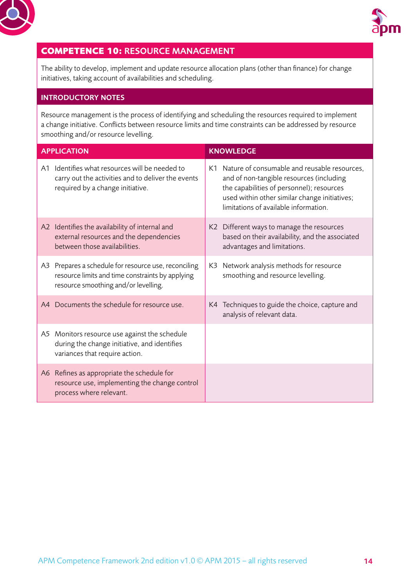<span id="page-13-0"></span>



## **COMPETENCE 10:** RESOURCE MANAGEMENT

The ability to develop, implement and update resource allocation plans (other than finance) for change initiatives, taking account of availabilities and scheduling.

#### INTRODUCTORY NOTES

Resource management is the process of identifying and scheduling the resources required to implement a change initiative. Conflicts between resource limits and time constraints can be addressed by resource smoothing and/or resource levelling.

|    | <b>APPLICATION</b>                                                                                                                               | <b>KNOWLEDGE</b>                                                                                                                                                                                                                   |
|----|--------------------------------------------------------------------------------------------------------------------------------------------------|------------------------------------------------------------------------------------------------------------------------------------------------------------------------------------------------------------------------------------|
| A1 | Identifies what resources will be needed to<br>carry out the activities and to deliver the events<br>required by a change initiative.            | K1 Nature of consumable and reusable resources,<br>and of non-tangible resources (including<br>the capabilities of personnel); resources<br>used within other similar change initiatives;<br>limitations of available information. |
|    | A2 Identifies the availability of internal and<br>external resources and the dependencies<br>between those availabilities.                       | K2 Different ways to manage the resources<br>based on their availability, and the associated<br>advantages and limitations.                                                                                                        |
|    | A3 Prepares a schedule for resource use, reconciling<br>resource limits and time constraints by applying<br>resource smoothing and/or levelling. | K3 Network analysis methods for resource<br>smoothing and resource levelling.                                                                                                                                                      |
|    | A4 Documents the schedule for resource use.                                                                                                      | K4 Techniques to guide the choice, capture and<br>analysis of relevant data.                                                                                                                                                       |
|    | A5 Monitors resource use against the schedule<br>during the change initiative, and identifies<br>variances that require action.                  |                                                                                                                                                                                                                                    |
|    | A6 Refines as appropriate the schedule for<br>resource use, implementing the change control<br>process where relevant.                           |                                                                                                                                                                                                                                    |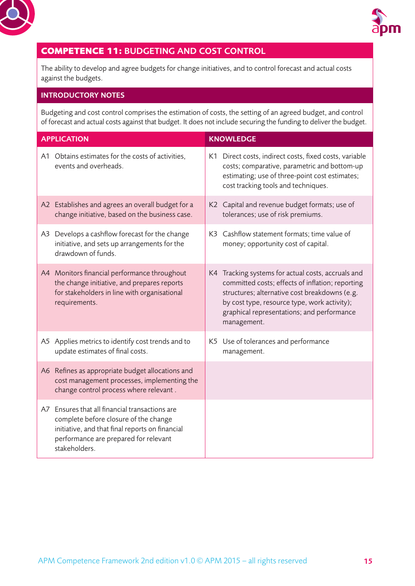<span id="page-14-0"></span>



## **COMPETENCE 11:** BUDGETING AND COST CONTROL

The ability to develop and agree budgets for change initiatives, and to control forecast and actual costs against the budgets.

#### INTRODUCTORY NOTES

Budgeting and cost control comprises the estimation of costs, the setting of an agreed budget, and control of forecast and actual costs against that budget. It does not include securing the funding to deliver the budget.

| <b>APPLICATION</b> |                                                                                                                                                                                                      | <b>KNOWLEDGE</b> |                                                                                                                                                                                                                                                                      |
|--------------------|------------------------------------------------------------------------------------------------------------------------------------------------------------------------------------------------------|------------------|----------------------------------------------------------------------------------------------------------------------------------------------------------------------------------------------------------------------------------------------------------------------|
|                    | A1 Obtains estimates for the costs of activities,<br>events and overheads.                                                                                                                           |                  | K1 Direct costs, indirect costs, fixed costs, variable<br>costs; comparative, parametric and bottom-up<br>estimating; use of three-point cost estimates;<br>cost tracking tools and techniques.                                                                      |
|                    | A2 Establishes and agrees an overall budget for a<br>change initiative, based on the business case.                                                                                                  |                  | K2 Capital and revenue budget formats; use of<br>tolerances; use of risk premiums.                                                                                                                                                                                   |
| A3                 | Develops a cashflow forecast for the change<br>initiative, and sets up arrangements for the<br>drawdown of funds.                                                                                    |                  | K3 Cashflow statement formats; time value of<br>money; opportunity cost of capital.                                                                                                                                                                                  |
|                    | A4 Monitors financial performance throughout<br>the change initiative, and prepares reports<br>for stakeholders in line with organisational<br>requirements.                                         |                  | K4 Tracking systems for actual costs, accruals and<br>committed costs; effects of inflation; reporting<br>structures; alternative cost breakdowns (e.g.<br>by cost type, resource type, work activity);<br>graphical representations; and performance<br>management. |
|                    | A5 Applies metrics to identify cost trends and to<br>update estimates of final costs.                                                                                                                |                  | K5 Use of tolerances and performance<br>management.                                                                                                                                                                                                                  |
|                    | A6 Refines as appropriate budget allocations and<br>cost management processes, implementing the<br>change control process where relevant.                                                            |                  |                                                                                                                                                                                                                                                                      |
|                    | A7 Ensures that all financial transactions are<br>complete before closure of the change<br>initiative, and that final reports on financial<br>performance are prepared for relevant<br>stakeholders. |                  |                                                                                                                                                                                                                                                                      |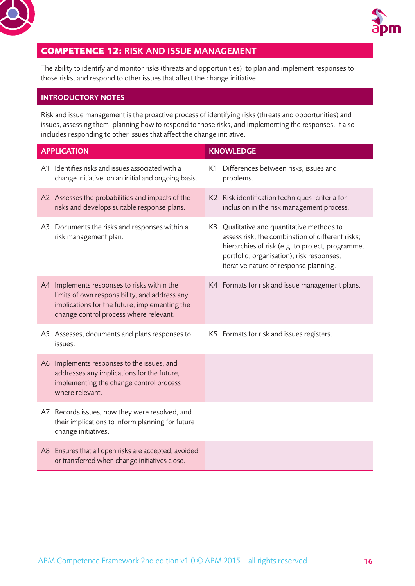<span id="page-15-0"></span>



## **COMPETENCE 12:** RISK AND ISSUE MANAGEMENT

The ability to identify and monitor risks (threats and opportunities), to plan and implement responses to those risks, and respond to other issues that affect the change initiative.

#### INTRODUCTORY NOTES

Risk and issue management is the proactive process of identifying risks (threats and opportunities) and issues, assessing them, planning how to respond to those risks, and implementing the responses. It also includes responding to other issues that affect the change initiative.

|                | <b>APPLICATION</b>                                                                                                                                                                   | <b>KNOWLEDGE</b>                                                                                                                                                                                                                          |  |  |
|----------------|--------------------------------------------------------------------------------------------------------------------------------------------------------------------------------------|-------------------------------------------------------------------------------------------------------------------------------------------------------------------------------------------------------------------------------------------|--|--|
|                | A1 Identifies risks and issues associated with a<br>change initiative, on an initial and ongoing basis.                                                                              | K1 Differences between risks, issues and<br>problems.                                                                                                                                                                                     |  |  |
|                | A2 Assesses the probabilities and impacts of the<br>risks and develops suitable response plans.                                                                                      | K2 Risk identification techniques; criteria for<br>inclusion in the risk management process.                                                                                                                                              |  |  |
|                | A3 Documents the risks and responses within a<br>risk management plan.                                                                                                               | K3 Qualitative and quantitative methods to<br>assess risk; the combination of different risks;<br>hierarchies of risk (e.g. to project, programme,<br>portfolio, organisation); risk responses;<br>iterative nature of response planning. |  |  |
| A4             | Implements responses to risks within the<br>limits of own responsibility, and address any<br>implications for the future, implementing the<br>change control process where relevant. | K4 Formats for risk and issue management plans.                                                                                                                                                                                           |  |  |
|                | A5 Assesses, documents and plans responses to<br>issues.                                                                                                                             | K5 Formats for risk and issues registers.                                                                                                                                                                                                 |  |  |
| A <sub>6</sub> | Implements responses to the issues, and<br>addresses any implications for the future,<br>implementing the change control process<br>where relevant.                                  |                                                                                                                                                                                                                                           |  |  |
|                | A7 Records issues, how they were resolved, and<br>their implications to inform planning for future<br>change initiatives.                                                            |                                                                                                                                                                                                                                           |  |  |
|                | A8 Ensures that all open risks are accepted, avoided<br>or transferred when change initiatives close.                                                                                |                                                                                                                                                                                                                                           |  |  |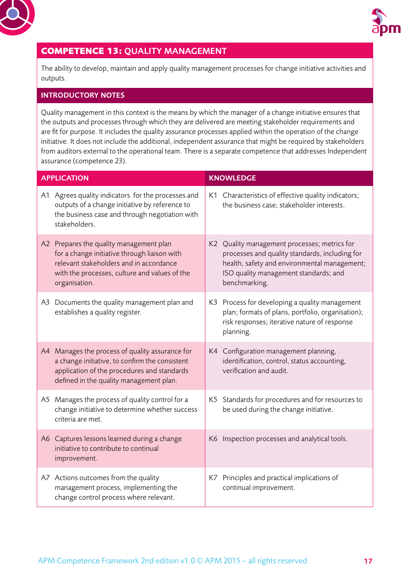<span id="page-16-0"></span>



## **COMPETENCE 13:** QUALITY MANAGEMENT

The ability to develop, maintain and apply quality management processes for change initiative activities and outputs.

#### INTRODUCTORY NOTES

Quality management in this context is the means by which the manager of a change initiative ensures that the outputs and processes through which they are delivered are meeting stakeholder requirements and are fit for purpose. It includes the quality assurance processes applied within the operation of the change initiative. It does not include the additional, independent assurance that might be required by stakeholders from auditors external to the operational team. There is a separate competence that addresses Independent assurance (competence 23).

| <b>APPLICATION</b>                                                                                                                                                                                   | <b>KNOWLEDGE</b> |                                                                                                                                                                                                          |  |
|------------------------------------------------------------------------------------------------------------------------------------------------------------------------------------------------------|------------------|----------------------------------------------------------------------------------------------------------------------------------------------------------------------------------------------------------|--|
| A1 Agrees quality indicators for the processes and<br>outputs of a change initiative by reference to<br>the business case and through negotiation with<br>stakeholders.                              |                  | K1 Characteristics of effective quality indicators;<br>the business case; stakeholder interests.                                                                                                         |  |
| A2 Prepares the quality management plan<br>for a change initiative through liaison with<br>relevant stakeholders and in accordance<br>with the processes, culture and values of the<br>organisation. |                  | K2 Quality management processes; metrics for<br>processes and quality standards, including for<br>health, safety and environmental management;<br>ISO quality management standards; and<br>benchmarking. |  |
| A3 Documents the quality management plan and<br>establishes a quality register.                                                                                                                      |                  | K3 Process for developing a quality management<br>plan; formats of plans, portfolio, organisation);<br>risk responses; iterative nature of response<br>planning.                                         |  |
| A4 Manages the process of quality assurance for<br>a change initiative, to confirm the consistent<br>application of the procedures and standards<br>defined in the quality management plan.          |                  | K4 Configuration management planning,<br>identification, control, status accounting,<br>verification and audit.                                                                                          |  |
| A5 Manages the process of quality control for a<br>change initiative to determine whether success<br>criteria are met.                                                                               |                  | K5 Standards for procedures and for resources to<br>be used during the change initiative.                                                                                                                |  |
| A6 Captures lessons learned during a change<br>initiative to contribute to continual<br>improvement.                                                                                                 |                  | K6 Inspection processes and analytical tools.                                                                                                                                                            |  |
| A7 Actions outcomes from the quality<br>management process, implementing the<br>change control process where relevant.                                                                               |                  | K7 Principles and practical implications of<br>continual improvement.                                                                                                                                    |  |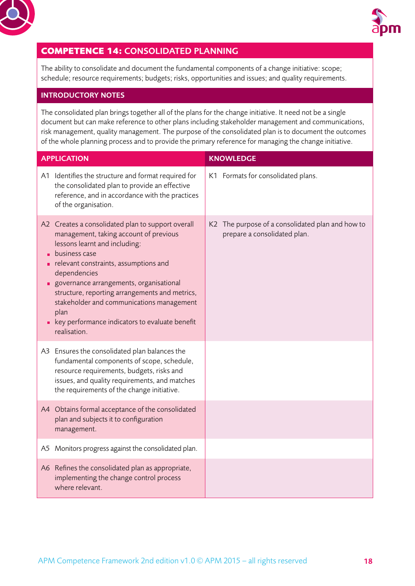<span id="page-17-0"></span>



## **COMPETENCE 14:** CONSOLIDATED PLANNING

The ability to consolidate and document the fundamental components of a change initiative: scope; schedule; resource requirements; budgets; risks, opportunities and issues; and quality requirements.

#### INTRODUCTORY NOTES

The consolidated plan brings together all of the plans for the change initiative. It need not be a single document but can make reference to other plans including stakeholder management and communications, risk management, quality management. The purpose of the consolidated plan is to document the outcomes of the whole planning process and to provide the primary reference for managing the change initiative.

| <b>APPLICATION</b>                                                                                                                                                                                                                                                                                                                                                                                                         | <b>KNOWLEDGE</b>                                                                 |  |
|----------------------------------------------------------------------------------------------------------------------------------------------------------------------------------------------------------------------------------------------------------------------------------------------------------------------------------------------------------------------------------------------------------------------------|----------------------------------------------------------------------------------|--|
| A1 Identifies the structure and format required for<br>the consolidated plan to provide an effective<br>reference, and in accordance with the practices<br>of the organisation.                                                                                                                                                                                                                                            | K1 Formats for consolidated plans.                                               |  |
| A2 Creates a consolidated plan to support overall<br>management, taking account of previous<br>lessons learnt and including:<br>business case<br>relevant constraints, assumptions and<br>dependencies<br>governance arrangements, organisational<br>structure, reporting arrangements and metrics,<br>stakeholder and communications management<br>plan<br>key performance indicators to evaluate benefit<br>realisation. | K2 The purpose of a consolidated plan and how to<br>prepare a consolidated plan. |  |
| A3 Ensures the consolidated plan balances the<br>fundamental components of scope, schedule,<br>resource requirements, budgets, risks and<br>issues, and quality requirements, and matches<br>the requirements of the change initiative.                                                                                                                                                                                    |                                                                                  |  |
| A4 Obtains formal acceptance of the consolidated<br>plan and subjects it to configuration<br>management.                                                                                                                                                                                                                                                                                                                   |                                                                                  |  |
| A5 Monitors progress against the consolidated plan.                                                                                                                                                                                                                                                                                                                                                                        |                                                                                  |  |
| A6 Refines the consolidated plan as appropriate,<br>implementing the change control process<br>where relevant.                                                                                                                                                                                                                                                                                                             |                                                                                  |  |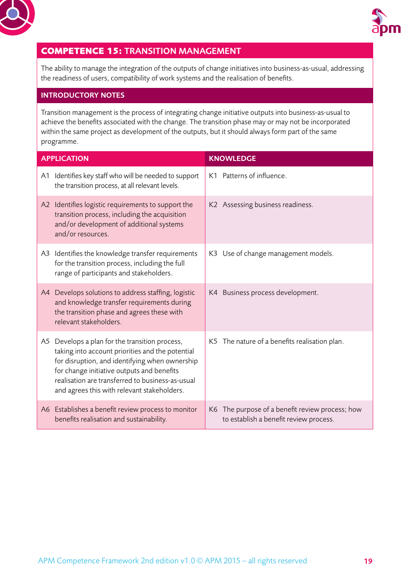<span id="page-18-0"></span>



## **COMPETENCE 15:** TRANSITION MANAGEMENT

The ability to manage the integration of the outputs of change initiatives into business-as-usual, addressing the readiness of users, compatibility of work systems and the realisation of benefits.

#### INTRODUCTORY NOTES

Transition management is the process of integrating change initiative outputs into business-as-usual to achieve the benefits associated with the change. The transition phase may or may not be incorporated within the same project as development of the outputs, but it should always form part of the same programme.

| <b>APPLICATION</b>                                                                                                                                                                                                                                                                                    | <b>KNOWLEDGE</b>                                                                          |  |  |
|-------------------------------------------------------------------------------------------------------------------------------------------------------------------------------------------------------------------------------------------------------------------------------------------------------|-------------------------------------------------------------------------------------------|--|--|
| A1 Identifies key staff who will be needed to support<br>the transition process, at all relevant levels.                                                                                                                                                                                              | K1 Patterns of influence.                                                                 |  |  |
| A2 Identifies logistic requirements to support the<br>transition process, including the acquisition<br>and/or development of additional systems<br>and/or resources.                                                                                                                                  | K2 Assessing business readiness.                                                          |  |  |
| A3 Identifies the knowledge transfer requirements<br>for the transition process, including the full<br>range of participants and stakeholders.                                                                                                                                                        | K3 Use of change management models.                                                       |  |  |
| Develops solutions to address staffing, logistic<br>A4<br>and knowledge transfer requirements during<br>the transition phase and agrees these with<br>relevant stakeholders.                                                                                                                          | K4 Business process development.                                                          |  |  |
| A5 Develops a plan for the transition process,<br>taking into account priorities and the potential<br>for disruption, and identifying when ownership<br>for change initiative outputs and benefits<br>realisation are transferred to business-as-usual<br>and agrees this with relevant stakeholders. | K5 The nature of a benefits realisation plan.                                             |  |  |
| A6 Establishes a benefit review process to monitor<br>benefits realisation and sustainability.                                                                                                                                                                                                        | K6 The purpose of a benefit review process; how<br>to establish a benefit review process. |  |  |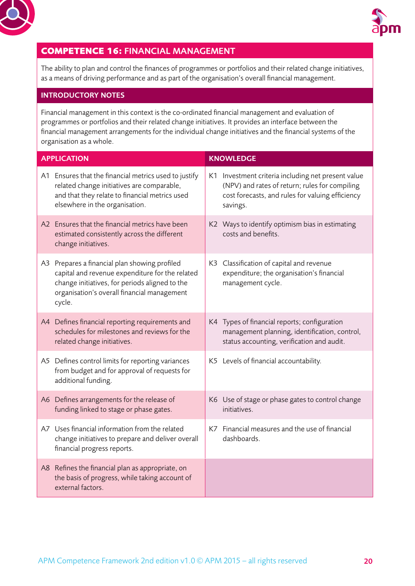<span id="page-19-0"></span>



## **COMPETENCE 16:** FINANCIAL MANAGEMENT

The ability to plan and control the finances of programmes or portfolios and their related change initiatives, as a means of driving performance and as part of the organisation's overall financial management.

#### INTRODUCTORY NOTES

Financial management in this context is the co-ordinated financial management and evaluation of programmes or portfolios and their related change initiatives. It provides an interface between the financial management arrangements for the individual change initiatives and the financial systems of the organisation as a whole.

| <b>APPLICATION</b>                                                                                                                                                                                          | <b>KNOWLEDGE</b> |                                                                                                                                                                      |  |
|-------------------------------------------------------------------------------------------------------------------------------------------------------------------------------------------------------------|------------------|----------------------------------------------------------------------------------------------------------------------------------------------------------------------|--|
| A1 Ensures that the financial metrics used to justify<br>related change initiatives are comparable,<br>and that they relate to financial metrics used<br>elsewhere in the organisation.                     |                  | K1 Investment criteria including net present value<br>(NPV) and rates of return; rules for compiling<br>cost forecasts, and rules for valuing efficiency<br>savings. |  |
| A2 Ensures that the financial metrics have been<br>estimated consistently across the different<br>change initiatives.                                                                                       |                  | K2 Ways to identify optimism bias in estimating<br>costs and benefits.                                                                                               |  |
| A3 Prepares a financial plan showing profiled<br>capital and revenue expenditure for the related<br>change initiatives, for periods aligned to the<br>organisation's overall financial management<br>cycle. |                  | K3 Classification of capital and revenue<br>expenditure; the organisation's financial<br>management cycle.                                                           |  |
| A4 Defines financial reporting requirements and<br>schedules for milestones and reviews for the<br>related change initiatives.                                                                              |                  | K4 Types of financial reports; configuration<br>management planning, identification, control,<br>status accounting, verification and audit.                          |  |
| A5 Defines control limits for reporting variances<br>from budget and for approval of requests for<br>additional funding.                                                                                    |                  | K5 Levels of financial accountability.                                                                                                                               |  |
| A6 Defines arrangements for the release of<br>funding linked to stage or phase gates.                                                                                                                       |                  | K6 Use of stage or phase gates to control change<br>initiatives.                                                                                                     |  |
| A7 Uses financial information from the related<br>change initiatives to prepare and deliver overall<br>financial progress reports.                                                                          |                  | K7 Financial measures and the use of financial<br>dashboards.                                                                                                        |  |
| A8 Refines the financial plan as appropriate, on<br>the basis of progress, while taking account of<br>external factors.                                                                                     |                  |                                                                                                                                                                      |  |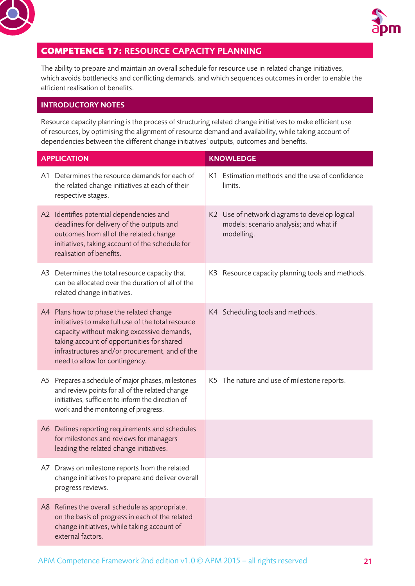<span id="page-20-0"></span>



## **COMPETENCE 17:** RESOURCE CAPACITY PLANNING

The ability to prepare and maintain an overall schedule for resource use in related change initiatives, which avoids bottlenecks and conflicting demands, and which sequences outcomes in order to enable the efficient realisation of benefits.

#### INTRODUCTORY NOTES

Resource capacity planning is the process of structuring related change initiatives to make efficient use of resources, by optimising the alignment of resource demand and availability, while taking account of dependencies between the different change initiatives' outputs, outcomes and benefits.

| <b>APPLICATION</b>                                                                                                                                                                                                                                                             | <b>KNOWLEDGE</b>                                                                                      |  |
|--------------------------------------------------------------------------------------------------------------------------------------------------------------------------------------------------------------------------------------------------------------------------------|-------------------------------------------------------------------------------------------------------|--|
| A1 Determines the resource demands for each of<br>the related change initiatives at each of their<br>respective stages.                                                                                                                                                        | K1 Estimation methods and the use of confidence<br>limits.                                            |  |
| A2 Identifies potential dependencies and<br>deadlines for delivery of the outputs and<br>outcomes from all of the related change<br>initiatives, taking account of the schedule for<br>realisation of benefits.                                                                | K2 Use of network diagrams to develop logical<br>models; scenario analysis; and what if<br>modelling. |  |
| A3 Determines the total resource capacity that<br>can be allocated over the duration of all of the<br>related change initiatives.                                                                                                                                              | K3 Resource capacity planning tools and methods.                                                      |  |
| A4 Plans how to phase the related change<br>initiatives to make full use of the total resource<br>capacity without making excessive demands,<br>taking account of opportunities for shared<br>infrastructures and/or procurement, and of the<br>need to allow for contingency. | K4 Scheduling tools and methods.                                                                      |  |
| A5 Prepares a schedule of major phases, milestones<br>and review points for all of the related change<br>initiatives, sufficient to inform the direction of<br>work and the monitoring of progress.                                                                            | K5 The nature and use of milestone reports.                                                           |  |
| A6 Defines reporting requirements and schedules<br>for milestones and reviews for managers<br>leading the related change initiatives.                                                                                                                                          |                                                                                                       |  |
| A7 Draws on milestone reports from the related<br>change initiatives to prepare and deliver overall<br>progress reviews.                                                                                                                                                       |                                                                                                       |  |
| A8 Refines the overall schedule as appropriate,<br>on the basis of progress in each of the related<br>change initiatives, while taking account of<br>external factors.                                                                                                         |                                                                                                       |  |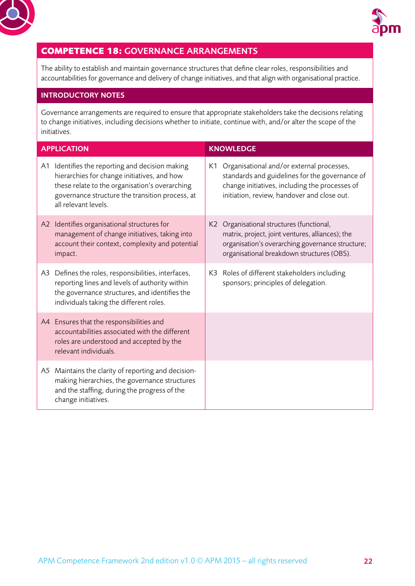<span id="page-21-0"></span>



## **COMPETENCE 18:** GOVERNANCE ARRANGEMENTS

The ability to establish and maintain governance structures that define clear roles, responsibilities and accountabilities for governance and delivery of change initiatives, and that align with organisational practice.

#### INTRODUCTORY NOTES

Governance arrangements are required to ensure that appropriate stakeholders take the decisions relating to change initiatives, including decisions whether to initiate, continue with, and/or alter the scope of the initiatives.

|    | <b>APPLICATION</b>                                                                                                                                                                                                       | <b>KNOWLEDGE</b>                                                                                                                                                                                |
|----|--------------------------------------------------------------------------------------------------------------------------------------------------------------------------------------------------------------------------|-------------------------------------------------------------------------------------------------------------------------------------------------------------------------------------------------|
| A1 | Identifies the reporting and decision making<br>hierarchies for change initiatives, and how<br>these relate to the organisation's overarching<br>governance structure the transition process, at<br>all relevant levels. | K1 Organisational and/or external processes,<br>standards and guidelines for the governance of<br>change initiatives, including the processes of<br>initiation, review, handover and close out. |
|    | A2 Identifies organisational structures for<br>management of change initiatives, taking into<br>account their context, complexity and potential<br>impact.                                                               | K2 Organisational structures (functional,<br>matrix, project, joint ventures, alliances); the<br>organisation's overarching governance structure;<br>organisational breakdown structures (OBS). |
| A3 | Defines the roles, responsibilities, interfaces,<br>reporting lines and levels of authority within<br>the governance structures, and identifies the<br>individuals taking the different roles.                           | K3 Roles of different stakeholders including<br>sponsors; principles of delegation.                                                                                                             |
|    | A4 Ensures that the responsibilities and<br>accountabilities associated with the different<br>roles are understood and accepted by the<br>relevant individuals.                                                          |                                                                                                                                                                                                 |
|    | A5 Maintains the clarity of reporting and decision-<br>making hierarchies, the governance structures<br>and the staffing, during the progress of the<br>change initiatives.                                              |                                                                                                                                                                                                 |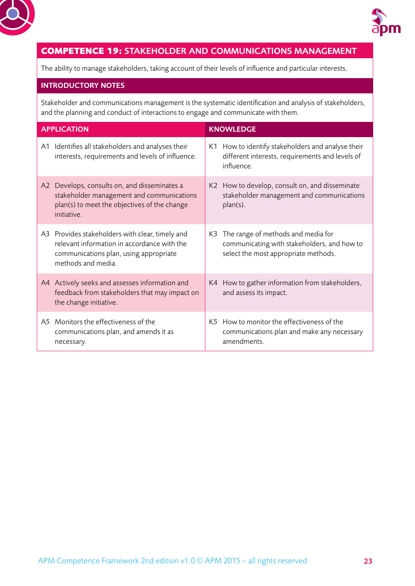<span id="page-22-0"></span>



## **COMPETENCE 19:** STAKEHOLDER AND COMMUNICATIONS MANAGEMENT

The ability to manage stakeholders, taking account of their levels of influence and particular interests.

#### INTRODUCTORY NOTES

Stakeholder and communications management is the systematic identification and analysis of stakeholders, and the planning and conduct of interactions to engage and communicate with them.

|    | <b>APPLICATION</b>                                                                                                                                             | <b>KNOWLEDGE</b> |                                                                                                                           |  |
|----|----------------------------------------------------------------------------------------------------------------------------------------------------------------|------------------|---------------------------------------------------------------------------------------------------------------------------|--|
| A1 | Identifies all stakeholders and analyses their<br>interests, requirements and levels of influence.                                                             | K1.              | How to identify stakeholders and analyse their<br>different interests, requirements and levels of<br>influence.           |  |
| A2 | Develops, consults on, and disseminates a<br>stakeholder management and communications<br>plan(s) to meet the objectives of the change<br>initiative.          |                  | K2 How to develop, consult on, and disseminate<br>stakeholder management and communications<br>$plan(s)$ .                |  |
|    | A3 Provides stakeholders with clear, timely and<br>relevant information in accordance with the<br>communications plan, using appropriate<br>methods and media. | K3               | The range of methods and media for<br>communicating with stakeholders, and how to<br>select the most appropriate methods. |  |
|    | A4 Actively seeks and assesses information and<br>feedback from stakeholders that may impact on<br>the change initiative.                                      |                  | K4 How to gather information from stakeholders,<br>and assess its impact.                                                 |  |
| A5 | Monitors the effectiveness of the<br>communications plan, and amends it as<br>necessary.                                                                       |                  | K5 How to monitor the effectiveness of the<br>communications plan and make any necessary<br>amendments.                   |  |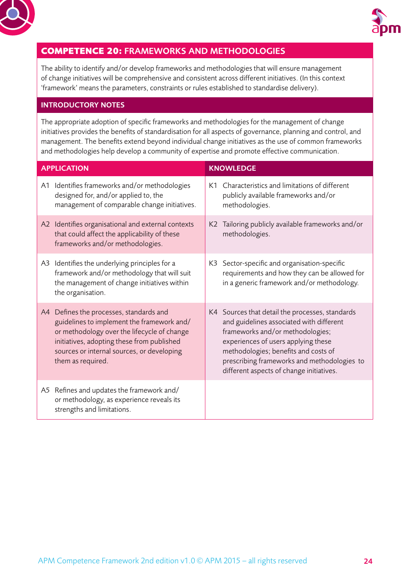<span id="page-23-0"></span>



#### **COMPETENCE 20:** FRAMEWORKS AND METHODOLOGIES

The ability to identify and/or develop frameworks and methodologies that will ensure management of change initiatives will be comprehensive and consistent across different initiatives. (In this context 'framework' means the parameters, constraints or rules established to standardise delivery).

#### INTRODUCTORY NOTES

The appropriate adoption of specific frameworks and methodologies for the management of change initiatives provides the benefits of standardisation for all aspects of governance, planning and control, and management. The benefits extend beyond individual change initiatives as the use of common frameworks and methodologies help develop a community of expertise and promote effective communication.

|    | <b>APPLICATION</b>                                                                                                                                                                                                                                    | <b>KNOWLEDGE</b> |                                                                                                                                                                                                                                                                                                           |  |
|----|-------------------------------------------------------------------------------------------------------------------------------------------------------------------------------------------------------------------------------------------------------|------------------|-----------------------------------------------------------------------------------------------------------------------------------------------------------------------------------------------------------------------------------------------------------------------------------------------------------|--|
|    | A1 Identifies frameworks and/or methodologies<br>designed for, and/or applied to, the<br>management of comparable change initiatives.                                                                                                                 | K1               | Characteristics and limitations of different<br>publicly available frameworks and/or<br>methodologies.                                                                                                                                                                                                    |  |
|    | A2 Identifies organisational and external contexts<br>that could affect the applicability of these<br>frameworks and/or methodologies.                                                                                                                | K2               | Tailoring publicly available frameworks and/or<br>methodologies.                                                                                                                                                                                                                                          |  |
| A3 | Identifies the underlying principles for a<br>framework and/or methodology that will suit<br>the management of change initiatives within<br>the organisation.                                                                                         |                  | K3 Sector-specific and organisation-specific<br>requirements and how they can be allowed for<br>in a generic framework and/or methodology.                                                                                                                                                                |  |
|    | A4 Defines the processes, standards and<br>guidelines to implement the framework and/<br>or methodology over the lifecycle of change<br>initiatives, adopting these from published<br>sources or internal sources, or developing<br>them as required. |                  | K4 Sources that detail the processes, standards<br>and guidelines associated with different<br>frameworks and/or methodologies;<br>experiences of users applying these<br>methodologies; benefits and costs of<br>prescribing frameworks and methodologies to<br>different aspects of change initiatives. |  |
|    | A5 Refines and updates the framework and/<br>or methodology, as experience reveals its<br>strengths and limitations.                                                                                                                                  |                  |                                                                                                                                                                                                                                                                                                           |  |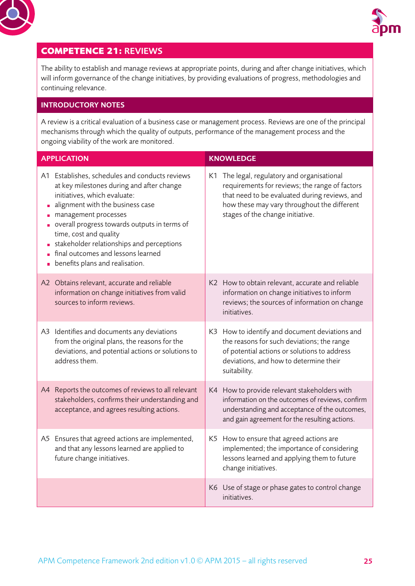<span id="page-24-0"></span>



## **COMPETENCE 21:** REVIEWS

The ability to establish and manage reviews at appropriate points, during and after change initiatives, which will inform governance of the change initiatives, by providing evaluations of progress, methodologies and continuing relevance.

#### INTRODUCTORY NOTES

A review is a critical evaluation of a business case or management process. Reviews are one of the principal mechanisms through which the quality of outputs, performance of the management process and the ongoing viability of the work are monitored.

|                      | <b>APPLICATION</b>                                                                                                                                                                                                                                                                                                                                                                      | <b>KNOWLEDGE</b>                                                                                                                                                                                                                  |
|----------------------|-----------------------------------------------------------------------------------------------------------------------------------------------------------------------------------------------------------------------------------------------------------------------------------------------------------------------------------------------------------------------------------------|-----------------------------------------------------------------------------------------------------------------------------------------------------------------------------------------------------------------------------------|
| Ű,<br>$\blacksquare$ | A1 Establishes, schedules and conducts reviews<br>at key milestones during and after change<br>initiatives, which evaluate:<br>alignment with the business case<br>management processes<br>overall progress towards outputs in terms of<br>time, cost and quality<br>stakeholder relationships and perceptions<br>final outcomes and lessons learned<br>benefits plans and realisation. | K1 The legal, regulatory and organisational<br>requirements for reviews; the range of factors<br>that need to be evaluated during reviews, and<br>how these may vary throughout the different<br>stages of the change initiative. |
|                      | A2 Obtains relevant, accurate and reliable<br>information on change initiatives from valid<br>sources to inform reviews.                                                                                                                                                                                                                                                                | K2 How to obtain relevant, accurate and reliable<br>information on change initiatives to inform<br>reviews; the sources of information on change<br>initiatives.                                                                  |
|                      | A3 Identifies and documents any deviations<br>from the original plans, the reasons for the<br>deviations, and potential actions or solutions to<br>address them.                                                                                                                                                                                                                        | K3 How to identify and document deviations and<br>the reasons for such deviations; the range<br>of potential actions or solutions to address<br>deviations, and how to determine their<br>suitability.                            |
|                      | A4 Reports the outcomes of reviews to all relevant<br>stakeholders, confirms their understanding and<br>acceptance, and agrees resulting actions.                                                                                                                                                                                                                                       | K4 How to provide relevant stakeholders with<br>information on the outcomes of reviews, confirm<br>understanding and acceptance of the outcomes,<br>and gain agreement for the resulting actions.                                 |
| A5                   | Ensures that agreed actions are implemented,<br>and that any lessons learned are applied to<br>future change initiatives.                                                                                                                                                                                                                                                               | K5 How to ensure that agreed actions are<br>implemented; the importance of considering<br>lessons learned and applying them to future<br>change initiatives.                                                                      |
|                      |                                                                                                                                                                                                                                                                                                                                                                                         | K6 Use of stage or phase gates to control change<br>initiatives.                                                                                                                                                                  |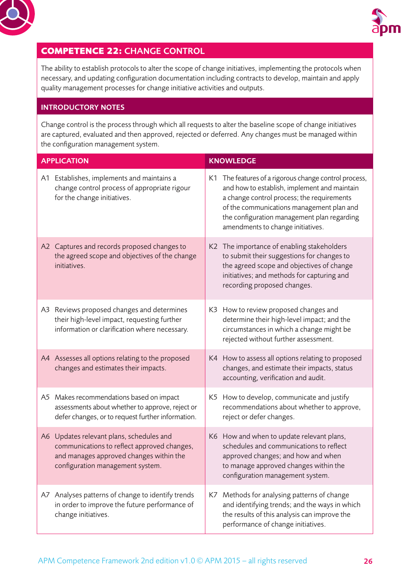<span id="page-25-0"></span>



## **COMPETENCE 22:** CHANGE CONTROL

The ability to establish protocols to alter the scope of change initiatives, implementing the protocols when necessary, and updating configuration documentation including contracts to develop, maintain and apply quality management processes for change initiative activities and outputs.

#### INTRODUCTORY NOTES

Change control is the process through which all requests to alter the baseline scope of change initiatives are captured, evaluated and then approved, rejected or deferred. Any changes must be managed within the configuration management system.

|    | <b>APPLICATION</b>                                                                                                                                                     | <b>KNOWLEDGE</b> |                                                                                                                                                                                                                                                                                      |  |
|----|------------------------------------------------------------------------------------------------------------------------------------------------------------------------|------------------|--------------------------------------------------------------------------------------------------------------------------------------------------------------------------------------------------------------------------------------------------------------------------------------|--|
|    | A1 Establishes, implements and maintains a<br>change control process of appropriate rigour<br>for the change initiatives.                                              |                  | K1 The features of a rigorous change control process,<br>and how to establish, implement and maintain<br>a change control process; the requirements<br>of the communications management plan and<br>the configuration management plan regarding<br>amendments to change initiatives. |  |
|    | A2 Captures and records proposed changes to<br>the agreed scope and objectives of the change<br>initiatives.                                                           |                  | K2 The importance of enabling stakeholders<br>to submit their suggestions for changes to<br>the agreed scope and objectives of change<br>initiatives; and methods for capturing and<br>recording proposed changes.                                                                   |  |
|    | A3 Reviews proposed changes and determines<br>their high-level impact, requesting further<br>information or clarification where necessary.                             |                  | K3 How to review proposed changes and<br>determine their high-level impact; and the<br>circumstances in which a change might be<br>rejected without further assessment.                                                                                                              |  |
|    | A4 Assesses all options relating to the proposed<br>changes and estimates their impacts.                                                                               |                  | K4 How to assess all options relating to proposed<br>changes, and estimate their impacts, status<br>accounting, verification and audit.                                                                                                                                              |  |
|    | A5 Makes recommendations based on impact<br>assessments about whether to approve, reject or<br>defer changes, or to request further information.                       |                  | K5 How to develop, communicate and justify<br>recommendations about whether to approve,<br>reject or defer changes.                                                                                                                                                                  |  |
|    | A6 Updates relevant plans, schedules and<br>communications to reflect approved changes,<br>and manages approved changes within the<br>configuration management system. |                  | K6 How and when to update relevant plans,<br>schedules and communications to reflect<br>approved changes; and how and when<br>to manage approved changes within the<br>configuration management system.                                                                              |  |
| A7 | Analyses patterns of change to identify trends<br>in order to improve the future performance of<br>change initiatives.                                                 |                  | K7 Methods for analysing patterns of change<br>and identifying trends; and the ways in which<br>the results of this analysis can improve the<br>performance of change initiatives.                                                                                                   |  |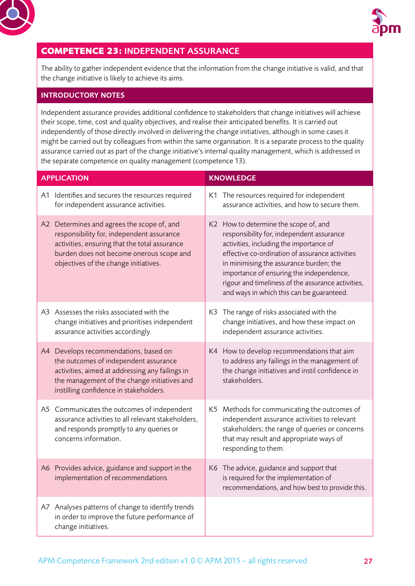<span id="page-26-0"></span>



## **COMPETENCE 23:** INDEPENDENT ASSURANCE

The ability to gather independent evidence that the information from the change initiative is valid, and that the change initiative is likely to achieve its aims.

#### INTRODUCTORY NOTES

Independent assurance provides additional confidence to stakeholders that change initiatives will achieve their scope, time, cost and quality objectives, and realise their anticipated benefits. It is carried out independently of those directly involved in delivering the change initiatives, although in some cases it might be carried out by colleagues from within the same organisation. It is a separate process to the quality assurance carried out as part of the change initiative's internal quality management, which is addressed in the separate competence on quality management (competence 13).

| <b>APPLICATION</b>                                                                                                                                                                                                            | <b>KNOWLEDGE</b> |                                                                                                                                                                                                                                                                                                                                                                            |  |
|-------------------------------------------------------------------------------------------------------------------------------------------------------------------------------------------------------------------------------|------------------|----------------------------------------------------------------------------------------------------------------------------------------------------------------------------------------------------------------------------------------------------------------------------------------------------------------------------------------------------------------------------|--|
| A1 Identifies and secures the resources required<br>for independent assurance activities.                                                                                                                                     |                  | K1 The resources required for independent<br>assurance activities, and how to secure them.                                                                                                                                                                                                                                                                                 |  |
| A2 Determines and agrees the scope of, and<br>responsibility for, independent assurance<br>activities, ensuring that the total assurance<br>burden does not become onerous scope and<br>objectives of the change initiatives. |                  | K2 How to determine the scope of, and<br>responsibility for, independent assurance<br>activities, including the importance of<br>effective co-ordination of assurance activities<br>in minimising the assurance burden; the<br>importance of ensuring the independence,<br>rigour and timeliness of the assurance activities,<br>and ways in which this can be guaranteed. |  |
| A3 Assesses the risks associated with the<br>change initiatives and prioritises independent<br>assurance activities accordingly.                                                                                              |                  | K3 The range of risks associated with the<br>change initiatives, and how these impact on<br>independent assurance activities.                                                                                                                                                                                                                                              |  |
| A4 Develops recommendations, based on<br>the outcomes of independent assurance<br>activities, aimed at addressing any failings in<br>the management of the change initiatives and<br>instilling confidence in stakeholders.   |                  | K4 How to develop recommendations that aim<br>to address any failings in the management of<br>the change initiatives and instil confidence in<br>stakeholders.                                                                                                                                                                                                             |  |
| A5 Communicates the outcomes of independent<br>assurance activities to all relevant stakeholders,<br>and responds promptly to any queries or<br>concerns information.                                                         |                  | K5 Methods for communicating the outcomes of<br>independent assurance activities to relevant<br>stakeholders; the range of queries or concerns<br>that may result and appropriate ways of<br>responding to them.                                                                                                                                                           |  |
| A6 Provides advice, guidance and support in the<br>implementation of recommendations.                                                                                                                                         |                  | K6 The advice, guidance and support that<br>is required for the implementation of<br>recommendations, and how best to provide this.                                                                                                                                                                                                                                        |  |
| A7 Analyses patterns of change to identify trends<br>in order to improve the future performance of<br>change initiatives.                                                                                                     |                  |                                                                                                                                                                                                                                                                                                                                                                            |  |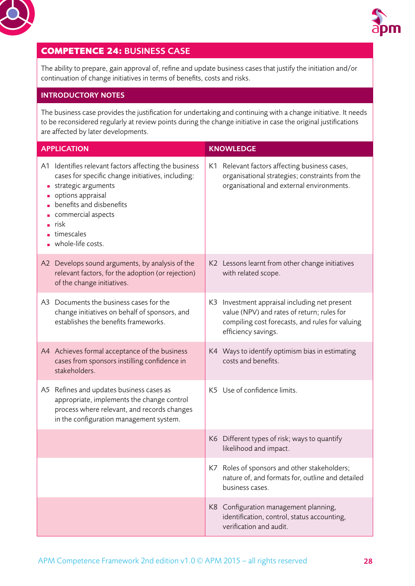<span id="page-27-0"></span>



## **COMPETENCE 24:** BUSINESS CASE

The ability to prepare, gain approval of, refine and update business cases that justify the initiation and/or continuation of change initiatives in terms of benefits, costs and risks.

#### INTRODUCTORY NOTES

The business case provides the justification for undertaking and continuing with a change initiative. It needs to be reconsidered regularly at review points during the change initiative in case the original justifications are affected by later developments.

| <b>APPLICATION</b> |                                                                                                                                                                                                                                                                    | <b>KNOWLEDGE</b> |                                                                                                                                                                       |
|--------------------|--------------------------------------------------------------------------------------------------------------------------------------------------------------------------------------------------------------------------------------------------------------------|------------------|-----------------------------------------------------------------------------------------------------------------------------------------------------------------------|
|                    | A1 Identifies relevant factors affecting the business<br>cases for specific change initiatives, including:<br>strategic arguments<br>options appraisal<br>benefits and disbenefits<br>commercial aspects<br>$\blacksquare$ risk<br>timescales<br>whole-life costs. |                  | K1 Relevant factors affecting business cases,<br>organisational strategies; constraints from the<br>organisational and external environments.                         |
|                    | A2 Develops sound arguments, by analysis of the<br>relevant factors, for the adoption (or rejection)<br>of the change initiatives.                                                                                                                                 |                  | K2 Lessons learnt from other change initiatives<br>with related scope.                                                                                                |
|                    | A3 Documents the business cases for the<br>change initiatives on behalf of sponsors, and<br>establishes the benefits frameworks.                                                                                                                                   |                  | K3 Investment appraisal including net present<br>value (NPV) and rates of return; rules for<br>compiling cost forecasts, and rules for valuing<br>efficiency savings. |
|                    | A4 Achieves formal acceptance of the business<br>cases from sponsors instilling confidence in<br>stakeholders.                                                                                                                                                     |                  | K4 Ways to identify optimism bias in estimating<br>costs and benefits.                                                                                                |
|                    | A5 Refines and updates business cases as<br>appropriate, implements the change control<br>process where relevant, and records changes<br>in the configuration management system.                                                                                   |                  | K5 Use of confidence limits.                                                                                                                                          |
|                    |                                                                                                                                                                                                                                                                    |                  | K6 Different types of risk; ways to quantify<br>likelihood and impact.                                                                                                |
|                    |                                                                                                                                                                                                                                                                    |                  | K7 Roles of sponsors and other stakeholders;<br>nature of, and formats for, outline and detailed<br>business cases.                                                   |
|                    |                                                                                                                                                                                                                                                                    |                  | K8 Configuration management planning,<br>identification, control, status accounting,<br>verification and audit.                                                       |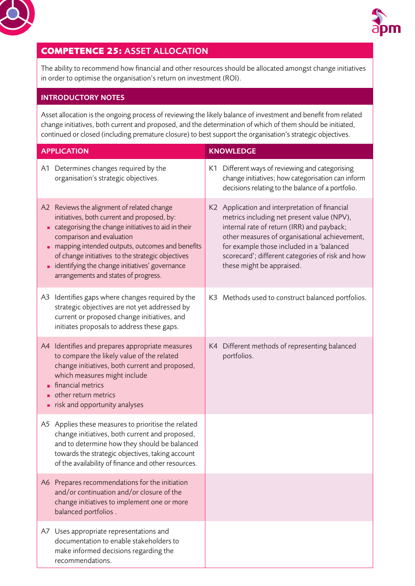<span id="page-28-0"></span>



## **COMPETENCE 25:** ASSET ALLOCATION

The ability to recommend how financial and other resources should be allocated amongst change initiatives in order to optimise the organisation's return on investment (ROI).

#### INTRODUCTORY NOTES

Asset allocation is the ongoing process of reviewing the likely balance of investment and benefit from related change initiatives, both current and proposed, and the determination of which of them should be initiated, continued or closed (including premature closure) to best support the organisation's strategic objectives.

| <b>APPLICATION</b> |                                                                                                                                                                                                                                                                                                                                                                                 | <b>KNOWLEDGE</b> |                                                                                                                                                                                                                                                                                                                           |  |
|--------------------|---------------------------------------------------------------------------------------------------------------------------------------------------------------------------------------------------------------------------------------------------------------------------------------------------------------------------------------------------------------------------------|------------------|---------------------------------------------------------------------------------------------------------------------------------------------------------------------------------------------------------------------------------------------------------------------------------------------------------------------------|--|
|                    | A1 Determines changes required by the<br>organisation's strategic objectives.                                                                                                                                                                                                                                                                                                   |                  | K1 Different ways of reviewing and categorising<br>change initiatives; how categorisation can inform<br>decisions relating to the balance of a portfolio.                                                                                                                                                                 |  |
|                    | A2 Reviews the alignment of related change<br>initiatives, both current and proposed, by:<br>categorising the change initiatives to aid in their<br>comparison and evaluation<br>mapping intended outputs, outcomes and benefits<br>of change initiatives to the strategic objectives<br>identifying the change initiatives' governance<br>arrangements and states of progress. |                  | K2 Application and interpretation of financial<br>metrics including net present value (NPV),<br>internal rate of return (IRR) and payback;<br>other measures of organisational achievement,<br>for example those included in a 'balanced<br>scorecard'; different categories of risk and how<br>these might be appraised. |  |
|                    | A3 Identifies gaps where changes required by the<br>strategic objectives are not yet addressed by<br>current or proposed change initiatives, and<br>initiates proposals to address these gaps.                                                                                                                                                                                  |                  | K3 Methods used to construct balanced portfolios.                                                                                                                                                                                                                                                                         |  |
|                    | A4 Identifies and prepares appropriate measures<br>to compare the likely value of the related<br>change initiatives, both current and proposed,<br>which measures might include<br>financial metrics<br>other return metrics<br>risk and opportunity analyses                                                                                                                   |                  | K4 Different methods of representing balanced<br>portfolios.                                                                                                                                                                                                                                                              |  |
|                    | A5 Applies these measures to prioritise the related<br>change initiatives, both current and proposed,<br>and to determine how they should be balanced<br>towards the strategic objectives, taking account<br>of the availability of finance and other resources.                                                                                                                |                  |                                                                                                                                                                                                                                                                                                                           |  |
|                    | A6 Prepares recommendations for the initiation<br>and/or continuation and/or closure of the<br>change initiatives to implement one or more<br>balanced portfolios.                                                                                                                                                                                                              |                  |                                                                                                                                                                                                                                                                                                                           |  |
|                    | A7 Uses appropriate representations and<br>documentation to enable stakeholders to<br>make informed decisions regarding the<br>recommendations.                                                                                                                                                                                                                                 |                  |                                                                                                                                                                                                                                                                                                                           |  |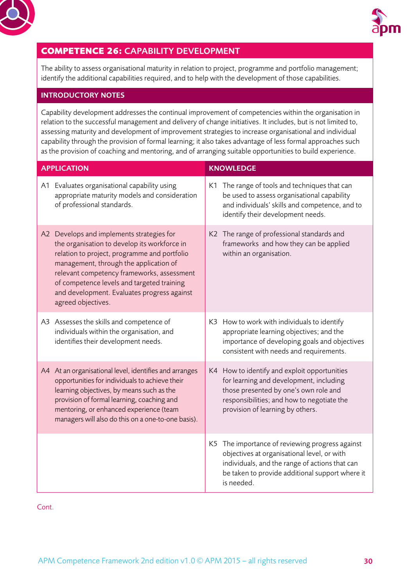<span id="page-29-0"></span>



## **COMPETENCE 26:** CAPABILITY DEVELOPMENT

The ability to assess organisational maturity in relation to project, programme and portfolio management; identify the additional capabilities required, and to help with the development of those capabilities.

#### INTRODUCTORY NOTES

Capability development addresses the continual improvement of competencies within the organisation in relation to the successful management and delivery of change initiatives. It includes, but is not limited to, assessing maturity and development of improvement strategies to increase organisational and individual capability through the provision of formal learning; it also takes advantage of less formal approaches such as the provision of coaching and mentoring, and of arranging suitable opportunities to build experience.

| <b>APPLICATION</b> |                                                                                                                                                                                                                                                                                                                                                      | <b>KNOWLEDGE</b> |                                                                                                                                                                                                                    |
|--------------------|------------------------------------------------------------------------------------------------------------------------------------------------------------------------------------------------------------------------------------------------------------------------------------------------------------------------------------------------------|------------------|--------------------------------------------------------------------------------------------------------------------------------------------------------------------------------------------------------------------|
|                    | A1 Evaluates organisational capability using<br>appropriate maturity models and consideration<br>of professional standards.                                                                                                                                                                                                                          |                  | K1 The range of tools and techniques that can<br>be used to assess organisational capability<br>and individuals' skills and competence, and to<br>identify their development needs.                                |
|                    | A2 Develops and implements strategies for<br>the organisation to develop its workforce in<br>relation to project, programme and portfolio<br>management, through the application of<br>relevant competency frameworks, assessment<br>of competence levels and targeted training<br>and development. Evaluates progress against<br>agreed objectives. |                  | K2 The range of professional standards and<br>frameworks and how they can be applied<br>within an organisation.                                                                                                    |
|                    | A3 Assesses the skills and competence of<br>individuals within the organisation, and<br>identifies their development needs.                                                                                                                                                                                                                          |                  | K3 How to work with individuals to identify<br>appropriate learning objectives; and the<br>importance of developing goals and objectives<br>consistent with needs and requirements.                                |
|                    | A4 At an organisational level, identifies and arranges<br>opportunities for individuals to achieve their<br>learning objectives, by means such as the<br>provision of formal learning, coaching and<br>mentoring, or enhanced experience (team<br>managers will also do this on a one-to-one basis).                                                 |                  | K4 How to identify and exploit opportunities<br>for learning and development, including<br>those presented by one's own role and<br>responsibilities; and how to negotiate the<br>provision of learning by others. |
|                    |                                                                                                                                                                                                                                                                                                                                                      |                  | K5 The importance of reviewing progress against<br>objectives at organisational level, or with<br>individuals, and the range of actions that can<br>be taken to provide additional support where it<br>is needed.  |

Cont.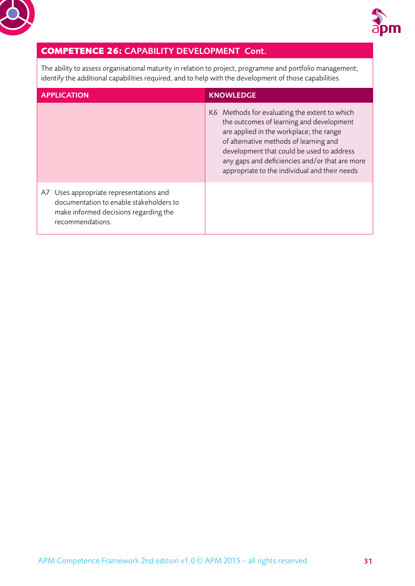



## **COMPETENCE 26:** CAPABILITY DEVELOPMENT Cont.

The ability to assess organisational maturity in relation to project, programme and portfolio management; identify the additional capabilities required, and to help with the development of those capabilities.

| <b>APPLICATION</b>                                                                                                                              | <b>KNOWLEDGE</b>                                                                                                                                                                                                                                                                                                               |
|-------------------------------------------------------------------------------------------------------------------------------------------------|--------------------------------------------------------------------------------------------------------------------------------------------------------------------------------------------------------------------------------------------------------------------------------------------------------------------------------|
|                                                                                                                                                 | K6 Methods for evaluating the extent to which<br>the outcomes of learning and development<br>are applied in the workplace; the range<br>of alternative methods of learning and<br>development that could be used to address<br>any gaps and deficiencies and/or that are more<br>appropriate to the individual and their needs |
| A7 Uses appropriate representations and<br>documentation to enable stakeholders to<br>make informed decisions regarding the<br>recommendations. |                                                                                                                                                                                                                                                                                                                                |